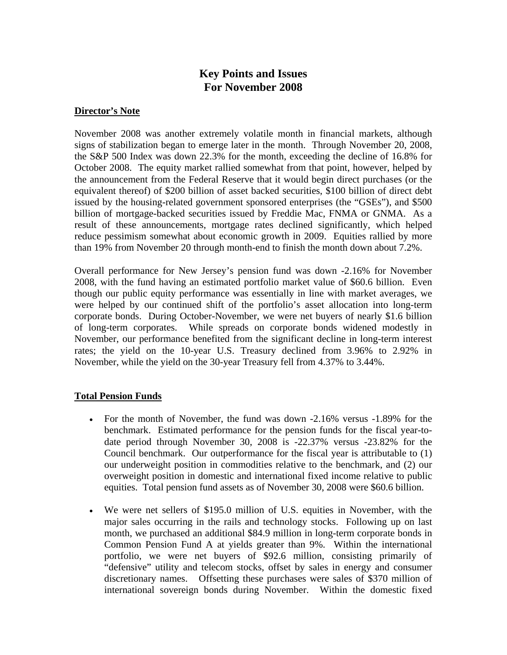# **Key Points and Issues For November 2008**

### **Director's Note**

November 2008 was another extremely volatile month in financial markets, although signs of stabilization began to emerge later in the month. Through November 20, 2008, the S&P 500 Index was down 22.3% for the month, exceeding the decline of 16.8% for October 2008. The equity market rallied somewhat from that point, however, helped by the announcement from the Federal Reserve that it would begin direct purchases (or the equivalent thereof) of \$200 billion of asset backed securities, \$100 billion of direct debt issued by the housing-related government sponsored enterprises (the "GSEs"), and \$500 billion of mortgage-backed securities issued by Freddie Mac, FNMA or GNMA. As a result of these announcements, mortgage rates declined significantly, which helped reduce pessimism somewhat about economic growth in 2009. Equities rallied by more than 19% from November 20 through month-end to finish the month down about 7.2%.

Overall performance for New Jersey's pension fund was down -2.16% for November 2008, with the fund having an estimated portfolio market value of \$60.6 billion. Even though our public equity performance was essentially in line with market averages, we were helped by our continued shift of the portfolio's asset allocation into long-term corporate bonds. During October-November, we were net buyers of nearly \$1.6 billion of long-term corporates. While spreads on corporate bonds widened modestly in November, our performance benefited from the significant decline in long-term interest rates; the yield on the 10-year U.S. Treasury declined from 3.96% to 2.92% in November, while the yield on the 30-year Treasury fell from 4.37% to 3.44%.

### **Total Pension Funds**

- For the month of November, the fund was down -2.16% versus -1.89% for the benchmark. Estimated performance for the pension funds for the fiscal year-todate period through November 30, 2008 is -22.37% versus -23.82% for the Council benchmark. Our outperformance for the fiscal year is attributable to (1) our underweight position in commodities relative to the benchmark, and (2) our overweight position in domestic and international fixed income relative to public equities. Total pension fund assets as of November 30, 2008 were \$60.6 billion.
- We were net sellers of \$195.0 million of U.S. equities in November, with the major sales occurring in the rails and technology stocks. Following up on last month, we purchased an additional \$84.9 million in long-term corporate bonds in Common Pension Fund A at yields greater than 9%. Within the international portfolio, we were net buyers of \$92.6 million, consisting primarily of "defensive" utility and telecom stocks, offset by sales in energy and consumer discretionary names. Offsetting these purchases were sales of \$370 million of international sovereign bonds during November. Within the domestic fixed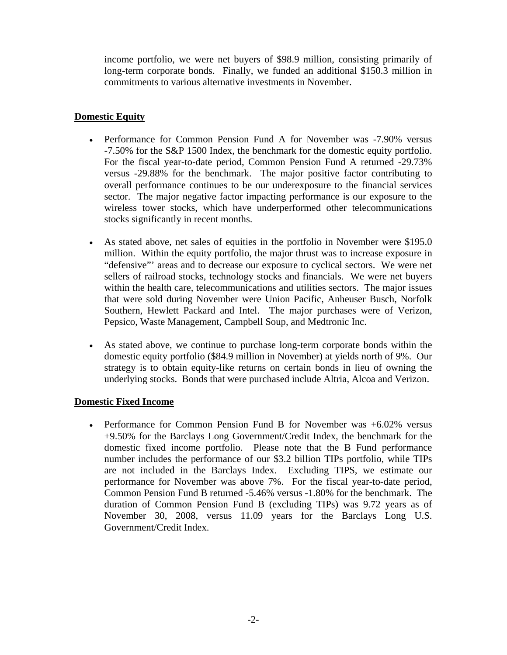income portfolio, we were net buyers of \$98.9 million, consisting primarily of long-term corporate bonds. Finally, we funded an additional \$150.3 million in commitments to various alternative investments in November.

# **Domestic Equity**

- Performance for Common Pension Fund A for November was -7.90% versus -7.50% for the S&P 1500 Index, the benchmark for the domestic equity portfolio. For the fiscal year-to-date period, Common Pension Fund A returned -29.73% versus -29.88% for the benchmark. The major positive factor contributing to overall performance continues to be our underexposure to the financial services sector. The major negative factor impacting performance is our exposure to the wireless tower stocks, which have underperformed other telecommunications stocks significantly in recent months.
- As stated above, net sales of equities in the portfolio in November were \$195.0 million. Within the equity portfolio, the major thrust was to increase exposure in "defensive"' areas and to decrease our exposure to cyclical sectors. We were net sellers of railroad stocks, technology stocks and financials. We were net buyers within the health care, telecommunications and utilities sectors. The major issues that were sold during November were Union Pacific, Anheuser Busch, Norfolk Southern, Hewlett Packard and Intel. The major purchases were of Verizon, Pepsico, Waste Management, Campbell Soup, and Medtronic Inc.
- As stated above, we continue to purchase long-term corporate bonds within the domestic equity portfolio (\$84.9 million in November) at yields north of 9%. Our strategy is to obtain equity-like returns on certain bonds in lieu of owning the underlying stocks. Bonds that were purchased include Altria, Alcoa and Verizon.

# **Domestic Fixed Income**

• Performance for Common Pension Fund B for November was +6.02% versus +9.50% for the Barclays Long Government/Credit Index, the benchmark for the domestic fixed income portfolio. Please note that the B Fund performance number includes the performance of our \$3.2 billion TIPs portfolio, while TIPs are not included in the Barclays Index. Excluding TIPS, we estimate our performance for November was above 7%. For the fiscal year-to-date period, Common Pension Fund B returned -5.46% versus -1.80% for the benchmark. The duration of Common Pension Fund B (excluding TIPs) was 9.72 years as of November 30, 2008, versus 11.09 years for the Barclays Long U.S. Government/Credit Index.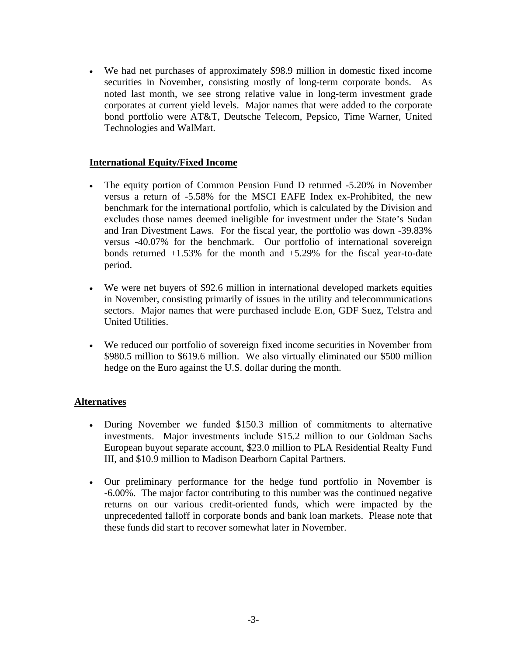• We had net purchases of approximately \$98.9 million in domestic fixed income securities in November, consisting mostly of long-term corporate bonds. As noted last month, we see strong relative value in long-term investment grade corporates at current yield levels. Major names that were added to the corporate bond portfolio were AT&T, Deutsche Telecom, Pepsico, Time Warner, United Technologies and WalMart.

## **International Equity/Fixed Income**

- The equity portion of Common Pension Fund D returned -5.20% in November versus a return of -5.58% for the MSCI EAFE Index ex-Prohibited, the new benchmark for the international portfolio, which is calculated by the Division and excludes those names deemed ineligible for investment under the State's Sudan and Iran Divestment Laws. For the fiscal year, the portfolio was down -39.83% versus -40.07% for the benchmark. Our portfolio of international sovereign bonds returned  $+1.53\%$  for the month and  $+5.29\%$  for the fiscal year-to-date period.
- We were net buyers of \$92.6 million in international developed markets equities in November, consisting primarily of issues in the utility and telecommunications sectors. Major names that were purchased include E.on, GDF Suez, Telstra and United Utilities.
- We reduced our portfolio of sovereign fixed income securities in November from \$980.5 million to \$619.6 million. We also virtually eliminated our \$500 million hedge on the Euro against the U.S. dollar during the month.

### **Alternatives**

- During November we funded \$150.3 million of commitments to alternative investments. Major investments include \$15.2 million to our Goldman Sachs European buyout separate account, \$23.0 million to PLA Residential Realty Fund III, and \$10.9 million to Madison Dearborn Capital Partners.
- Our preliminary performance for the hedge fund portfolio in November is -6.00%. The major factor contributing to this number was the continued negative returns on our various credit-oriented funds, which were impacted by the unprecedented falloff in corporate bonds and bank loan markets. Please note that these funds did start to recover somewhat later in November.